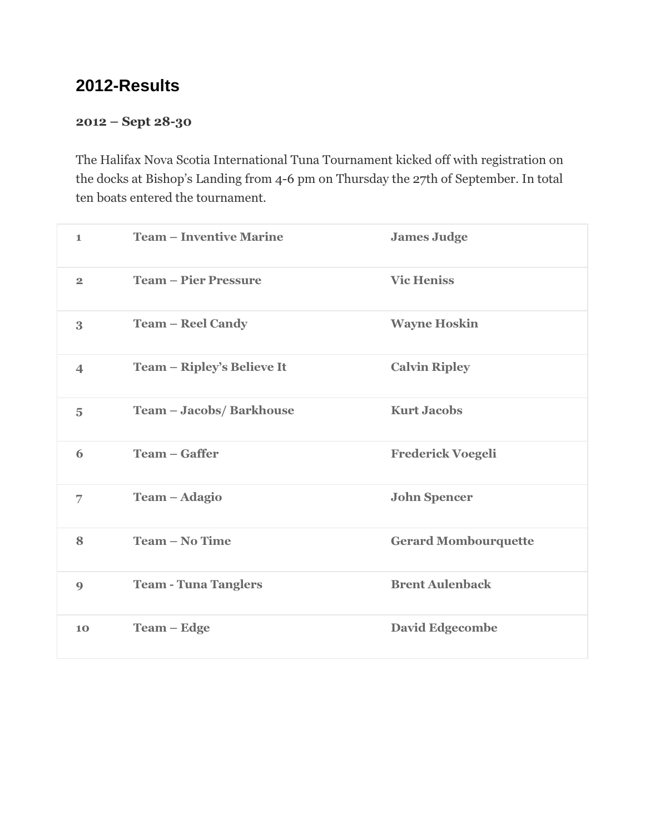# **2012-Results**

#### 2012 – Sept 28-30

The Halifax Nova Scotia International Tuna Tournament kicked off with registration on the docks at Bishop's Landing from 4-6 pm on Thursday the 27th of September. In total ten boats entered the tournament.

| $\blacksquare$           | <b>Team – Inventive Marine</b> | <b>James Judge</b>          |
|--------------------------|--------------------------------|-----------------------------|
| $\overline{2}$           | <b>Team - Pier Pressure</b>    | <b>Vic Heniss</b>           |
| 3                        | <b>Team – Reel Candy</b>       | <b>Wayne Hoskin</b>         |
| $\overline{\mathcal{A}}$ | Team - Ripley's Believe It     | <b>Calvin Ripley</b>        |
| 5                        | Team - Jacobs/ Barkhouse       | <b>Kurt Jacobs</b>          |
| 6                        | <b>Team – Gaffer</b>           | <b>Frederick Voegeli</b>    |
| 7                        | Team - Adagio                  | <b>John Spencer</b>         |
| 8                        | <b>Team - No Time</b>          | <b>Gerard Mombourquette</b> |
| $\boldsymbol{9}$         | <b>Team - Tuna Tanglers</b>    | <b>Brent Aulenback</b>      |
| 10                       | <b>Team – Edge</b>             | <b>David Edgecombe</b>      |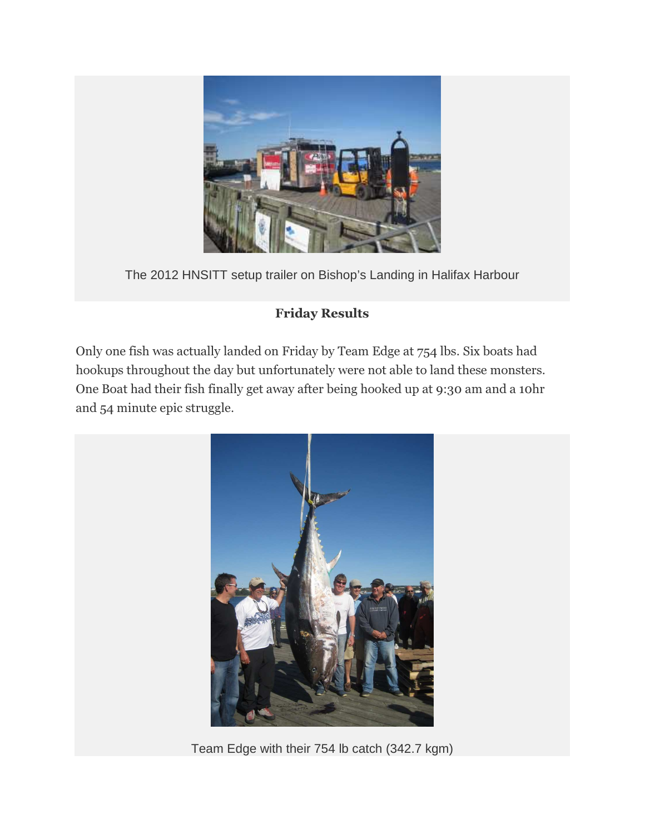

The 2012 HNSITT setup trailer on Bishop's Landing in Halifax Harbour

# Friday Results

Only one fish was actually landed on Friday by Team Edge at 754 lbs. Six boats had hookups throughout the day but unfortunately were not able to land these monsters. One Boat had their fish finally get away after being hooked up at 9:30 am and a 10hr and 54 minute epic struggle.



Team Edge with their 754 lb catch (342.7 kgm)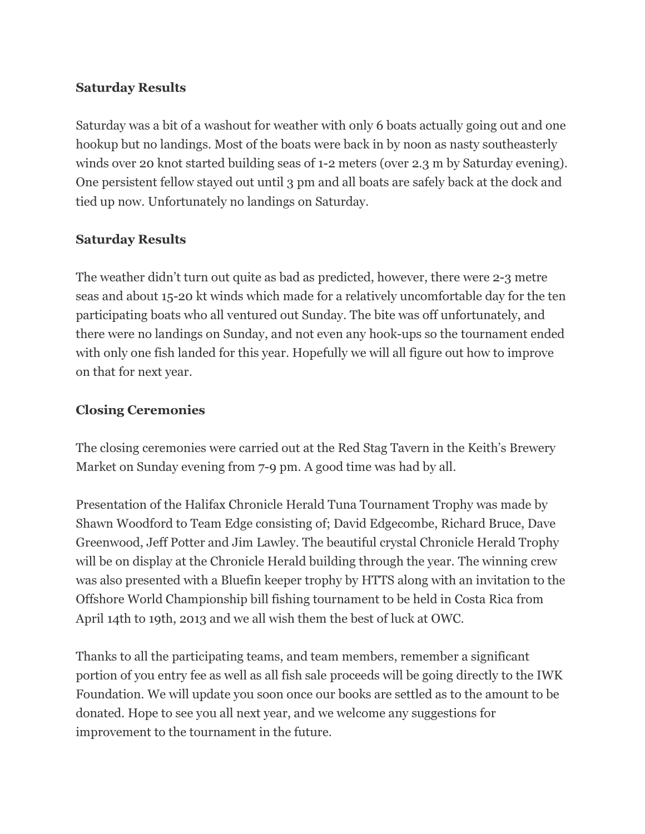### Saturday Results

Saturday was a bit of a washout for weather with only 6 boats actually going out and one hookup but no landings. Most of the boats were back in by noon as nasty southeasterly winds over 20 knot started building seas of 1-2 meters (over 2.3 m by Saturday evening). One persistent fellow stayed out until 3 pm and all boats are safely back at the dock and tied up now. Unfortunately no landings on Saturday.

#### Saturday Results

The weather didn't turn out quite as bad as predicted, however, there were 2-3 metre seas and about 15-20 kt winds which made for a relatively uncomfortable day for the ten participating boats who all ventured out Sunday. The bite was off unfortunately, and there were no landings on Sunday, and not even any hook-ups so the tournament ended with only one fish landed for this year. Hopefully we will all figure out how to improve on that for next year.

### Closing Ceremonies

The closing ceremonies were carried out at the Red Stag Tavern in the Keith's Brewery Market on Sunday evening from 7-9 pm. A good time was had by all.

Presentation of the Halifax Chronicle Herald Tuna Tournament Trophy was made by Shawn Woodford to Team Edge consisting of; David Edgecombe, Richard Bruce, Dave Greenwood, Jeff Potter and Jim Lawley. The beautiful crystal Chronicle Herald Trophy will be on display at the Chronicle Herald building through the year. The winning crew was also presented with a Bluefin keeper trophy by HTTS along with an invitation to the Offshore World Championship bill fishing tournament to be held in Costa Rica from April 14th to 19th, 2013 and we all wish them the best of luck at OWC.

Thanks to all the participating teams, and team members, remember a significant portion of you entry fee as well as all fish sale proceeds will be going directly to the IWK Foundation. We will update you soon once our books are settled as to the amount to be donated. Hope to see you all next year, and we welcome any suggestions for improvement to the tournament in the future.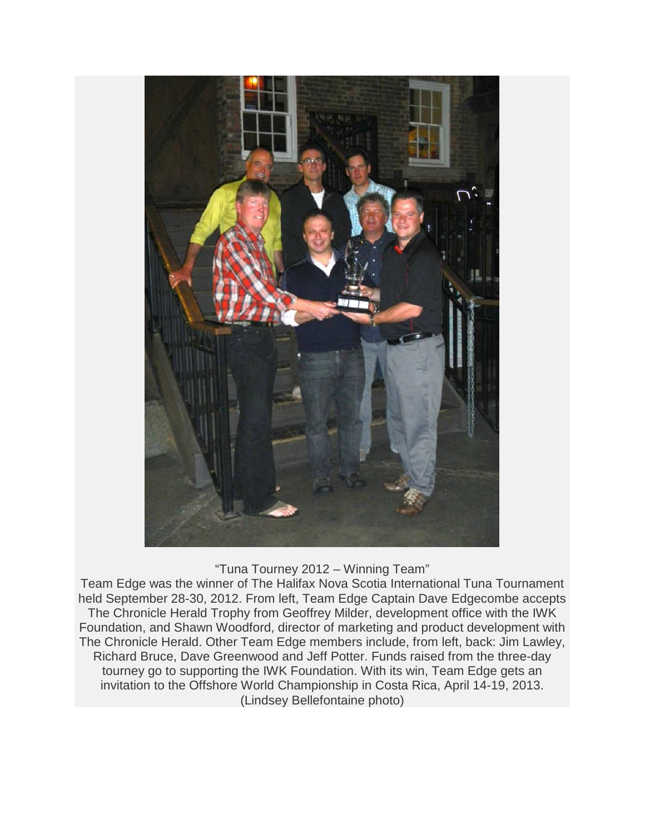

#### "Tuna Tourney 2012 – Winning Team"

Team Edge was the winner of The Halifax Nova Scotia International Tuna Tournament held September 28-30, 2012. From left, Team Edge Captain Dave Edgecombe accepts The Chronicle Herald Trophy from Geoffrey Milder, development office with the IWK Foundation, and Shawn Woodford, director of marketing and product development with The Chronicle Herald. Other Team Edge members include, from left, back: Jim Lawley, Richard Bruce, Dave Greenwood and Jeff Potter. Funds raised from the three-day tourney go to supporting the IWK Foundation. With its win, Team Edge gets an invitation to the Offshore World Championship in Costa Rica, April 14-19, 2013. (Lindsey Bellefontaine photo)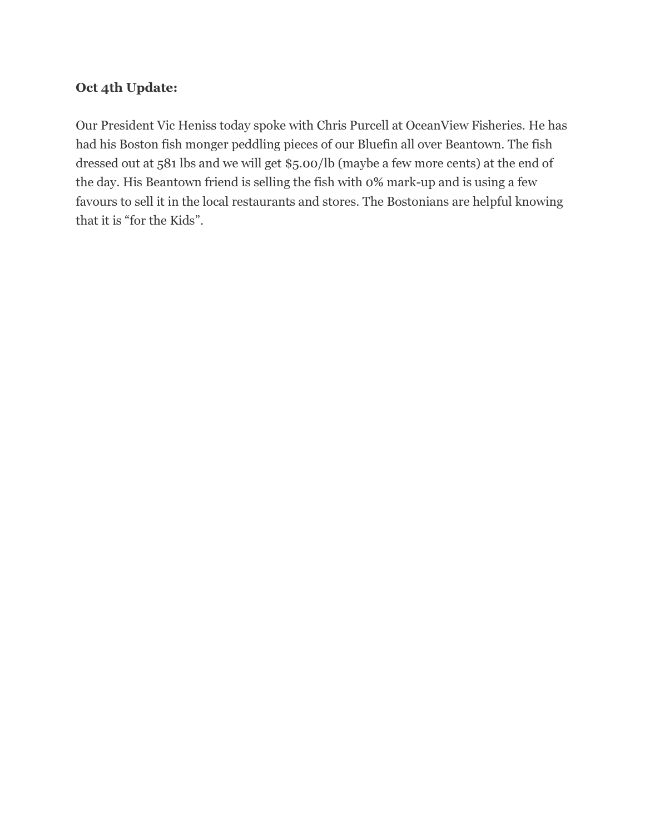## Oct 4th Update:

Our President Vic Heniss today spoke with Chris Purcell at OceanView Fisheries. He has had his Boston fish monger peddling pieces of our Bluefin all over Beantown. The fish dressed out at 581 lbs and we will get \$5.00/lb (maybe a few more cents) at the end of the day. His Beantown friend is selling the fish with 0% mark-up and is using a few favours to sell it in the local restaurants and stores. The Bostonians are helpful knowing that it is "for the Kids".